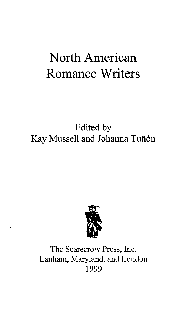## North American Romance Writers

## Edited by Kay Mussell and Johanna Tuñón



## The Scarecrow Press, Inc. Lanham, Maryland, and London 1999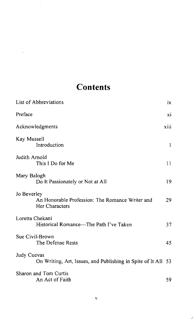## **Contents**

| List of Abbreviations                                                            | ix   |
|----------------------------------------------------------------------------------|------|
| Preface                                                                          | xi   |
| Acknowledgments                                                                  | xiii |
| Kay Mussell<br>Introduction                                                      | 1    |
| Judith Arnold<br>This I Do for Me                                                | 11   |
| Mary Balogh<br>Do It Passionately or Not at All                                  | 19   |
| Jo Beverley<br>An Honorable Profession: The Romance Writer and<br>Her Characters | 29   |
| Loretta Chekani<br>Historical Romance—The Path I've Taken                        | 37   |
| Sue Civil-Brown<br>The Defense Rests                                             | 45   |
| Judy Cuevas<br>On Writing, Art, Issues, and Publishing in Spite of It All 53     |      |
| Sharon and Tom Curtis<br>An Act of Faith                                         | 59   |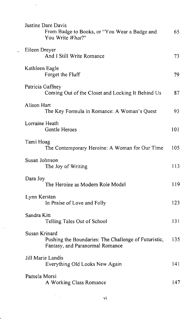| Justine Dare Davis<br>From Badge to Books, or "You Wear a Badge and<br>You Write What?"                  | 65  |
|----------------------------------------------------------------------------------------------------------|-----|
| Eileen Dreyer<br>And I Still Write Romance                                                               | 73  |
| Kathleen Eagle<br>Forget the Fluff                                                                       | 79. |
| Patricia Gaffney<br>Coming Out of the Closet and Locking It Behind Us                                    | 87  |
| Alison Hart<br>The Key Formula in Romance: A Woman's Quest                                               | 93  |
| Lorraine Heath<br>Gentle Heroes                                                                          | 101 |
| Tami Hoag<br>The Contemporary Heroine: A Woman for Our Time                                              | 105 |
| Susan Johnson<br>The Joy of Writing                                                                      | 113 |
| Dara Joy<br>The Heroine as Modern Role Model                                                             | 119 |
| Lynn Kerstan<br>In Praise of Love and Folly                                                              | 123 |
| Sandra Kitt<br>Telling Tales Out of School                                                               | 131 |
| Susan Krinard<br>Pushing the Boundaries: The Challenge of Futuristic,<br>Fantasy, and Paranormal Romance | 135 |
| Jill Marie Landis<br>Everything Old Looks New Again                                                      | 141 |
| Pamela Morsi<br>A Working Class Romance                                                                  | 147 |
| vi                                                                                                       |     |

 $\ddot{\phantom{0}}$ 

l,